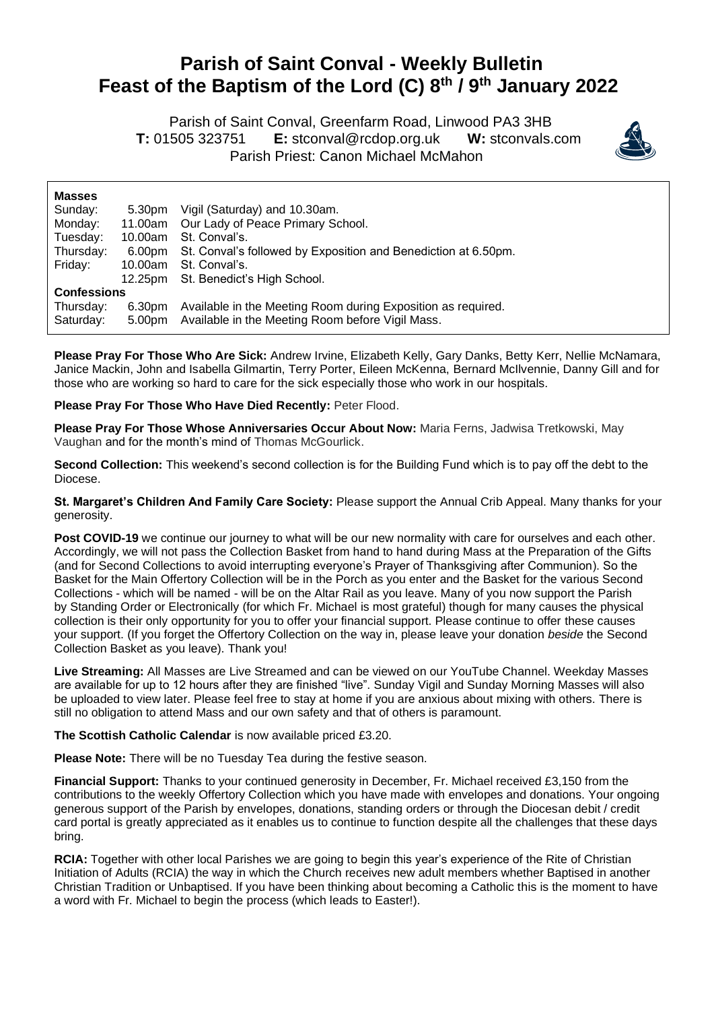## **Parish of Saint Conval - Weekly Bulletin Feast of the Baptism of the Lord (C) 8 th / 9 th January 2022**

 Parish of Saint Conval, Greenfarm Road, Linwood PA3 3HB **T:** 01505 323751 **E:** [stconval@rcdop.org.uk](mailto:stconval@rcdop.org.uk) **W:** stconvals.com Parish Priest: Canon Michael McMahon



| <b>Masses</b>      |         |                                                                |
|--------------------|---------|----------------------------------------------------------------|
| Sunday:            | 5.30pm  | Vigil (Saturday) and 10.30am.                                  |
| Monday:            | 11.00am | Our Lady of Peace Primary School.                              |
| Tuesday:           | 10.00am | St. Conval's.                                                  |
| Thursday:          | 6.00pm  | St. Conval's followed by Exposition and Benediction at 6.50pm. |
| Friday:            | 10.00am | St. Conval's.                                                  |
|                    |         | 12.25pm St. Benedict's High School.                            |
| <b>Confessions</b> |         |                                                                |
| Thursday:          | 6.30pm  | Available in the Meeting Room during Exposition as required.   |
| Saturday:          | 5.00pm  | Available in the Meeting Room before Vigil Mass.               |

**Please Pray For Those Who Are Sick:** Andrew Irvine, Elizabeth Kelly, Gary Danks, Betty Kerr, Nellie McNamara, Janice Mackin, John and Isabella Gilmartin, Terry Porter, Eileen McKenna, Bernard McIlvennie, Danny Gill and for those who are working so hard to care for the sick especially those who work in our hospitals.

**Please Pray For Those Who Have Died Recently:** Peter Flood.

**Please Pray For Those Whose Anniversaries Occur About Now:** Maria Ferns, Jadwisa Tretkowski, May Vaughan and for the month's mind of Thomas McGourlick.

**Second Collection:** This weekend's second collection is for the Building Fund which is to pay off the debt to the Diocese.

**St. Margaret's Children And Family Care Society:** Please support the Annual Crib Appeal. Many thanks for your generosity.

**Post COVID-19** we continue our journey to what will be our new normality with care for ourselves and each other. Accordingly, we will not pass the Collection Basket from hand to hand during Mass at the Preparation of the Gifts (and for Second Collections to avoid interrupting everyone's Prayer of Thanksgiving after Communion). So the Basket for the Main Offertory Collection will be in the Porch as you enter and the Basket for the various Second Collections - which will be named - will be on the Altar Rail as you leave. Many of you now support the Parish by Standing Order or Electronically (for which Fr. Michael is most grateful) though for many causes the physical collection is their only opportunity for you to offer your financial support. Please continue to offer these causes your support. (If you forget the Offertory Collection on the way in, please leave your donation *beside* the Second Collection Basket as you leave). Thank you!

**Live Streaming:** All Masses are Live Streamed and can be viewed on our YouTube Channel. Weekday Masses are available for up to 12 hours after they are finished "live". Sunday Vigil and Sunday Morning Masses will also be uploaded to view later. Please feel free to stay at home if you are anxious about mixing with others. There is still no obligation to attend Mass and our own safety and that of others is paramount.

**The Scottish Catholic Calendar** is now available priced £3.20.

**Please Note:** There will be no Tuesday Tea during the festive season.

**Financial Support:** Thanks to your continued generosity in December, Fr. Michael received £3,150 from the contributions to the weekly Offertory Collection which you have made with envelopes and donations. Your ongoing generous support of the Parish by envelopes, donations, standing orders or through the Diocesan debit / credit card portal is greatly appreciated as it enables us to continue to function despite all the challenges that these days bring.

**RCIA:** Together with other local Parishes we are going to begin this year's experience of the Rite of Christian Initiation of Adults (RCIA) the way in which the Church receives new adult members whether Baptised in another Christian Tradition or Unbaptised. If you have been thinking about becoming a Catholic this is the moment to have a word with Fr. Michael to begin the process (which leads to Easter!).